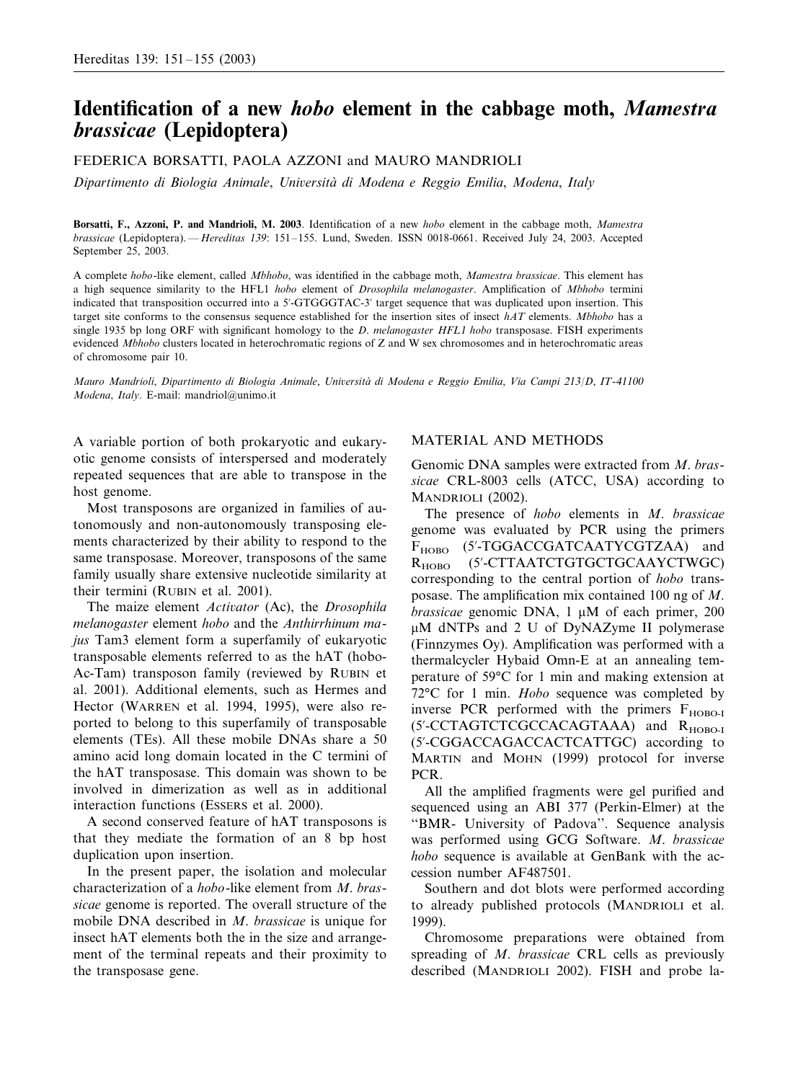# **Identification of a new** *hobo* **element in the cabbage moth,** *Mamestra brassicae* **(Lepidoptera)**

FEDERICA BORSATTI, PAOLA AZZONI and MAURO MANDRIOLI

*Dipartimento di Biologia Animale*, *Uniersita` di Modena e Reggio Emilia*, *Modena*, *Italy*

**Borsatti, F., Azzoni, P. and Mandrioli, M. 2003**. Identification of a new *hobo* element in the cabbage moth, *Mamestra brassicae* (Lepidoptera). —*Hereditas* 139: 151–155. Lund, Sweden. ISSN 0018-0661. Received July 24, 2003. Accepted September 25, 2003.

A complete *hobo*-like element, called *Mbhobo*, was identified in the cabbage moth, *Mamestra brassicae*. This element has a high sequence similarity to the HFL1 *hobo* element of *Drosophila melanogaster*. Amplification of *Mbhobo* termini indicated that transposition occurred into a 5'-GTGGGTAC-3' target sequence that was duplicated upon insertion. This target site conforms to the consensus sequence established for the insertion sites of insect *hAT* elements. *Mbhobo* has a single 1935 bp long ORF with significant homology to the *D*. *melanogaster HFL*1 *hobo* transposase. FISH experiments evidenced *Mbhobo* clusters located in heterochromatic regions of Z and W sex chromosomes and in heterochromatic areas of chromosome pair 10.

*Mauro Mandrioli*, *Dipartimento di Biologia Animale*, *Uniersita` di Modena e Reggio Emilia*, *Via Campi* <sup>213</sup>/*D*, *IT*-<sup>41100</sup> *Modena*, *Italy*. E-mail: mandriol@unimo.it

A variable portion of both prokaryotic and eukaryotic genome consists of interspersed and moderately repeated sequences that are able to transpose in the host genome.

Most transposons are organized in families of autonomously and non-autonomously transposing elements characterized by their ability to respond to the same transposase. Moreover, transposons of the same family usually share extensive nucleotide similarity at their termini (RUBIN et al. 2001).

The maize element *Actiator* (Ac), the *Drosophila melanogaster* element *hobo* and the *Anthirrhinum majus* Tam3 element form a superfamily of eukaryotic transposable elements referred to as the hAT (hobo-Ac-Tam) transposon family (reviewed by RUBIN et al. 2001). Additional elements, such as Hermes and Hector (WARREN et al. 1994, 1995), were also reported to belong to this superfamily of transposable elements (TEs). All these mobile DNAs share a 50 amino acid long domain located in the C termini of the hAT transposase. This domain was shown to be involved in dimerization as well as in additional interaction functions (ESSERS et al. 2000).

A second conserved feature of hAT transposons is that they mediate the formation of an 8 bp host duplication upon insertion.

In the present paper, the isolation and molecular characterization of a *hobo*-like element from *M*. *brassicae* genome is reported. The overall structure of the mobile DNA described in *M*. *brassicae* is unique for insect hAT elements both the in the size and arrangement of the terminal repeats and their proximity to the transposase gene.

#### MATERIAL AND METHODS

Genomic DNA samples were extracted from *M*. *brassicae* CRL-8003 cells (ATCC, USA) according to MANDRIOLI (2002).

The presence of *hobo* elements in *M*. *brassicae* genome was evaluated by PCR using the primers F<sub>HOBO</sub> (5'-TGGACCGATCAATYCGTZAA) and  $R_{HOBO}$ -CTTAATCTGTGCTGCAAYCTWGC) corresponding to the central portion of *hobo* transposase. The amplification mix contained 100 ng of *M*. *brassicae* genomic DNA,  $1 \mu M$  of each primer, 200 M dNTPs and 2 U of DyNAZyme II polymerase (Finnzymes Oy). Amplification was performed with a thermalcycler Hybaid Omn-E at an annealing temperature of 59°C for 1 min and making extension at 72°C for 1 min. *Hobo* sequence was completed by inverse PCR performed with the primers  $F_{HOBO-I}$ (5'-CCTAGTCTCGCCACAGTAAA) and R<sub>HOBO-I</sub> (5--CGGACCAGACCACTCATTGC) according to MARTIN and MOHN (1999) protocol for inverse PCR.

All the amplified fragments were gel purified and sequenced using an ABI 377 (Perkin-Elmer) at the ''BMR- University of Padova''. Sequence analysis was performed using GCG Software. *M*. *brassicae hobo* sequence is available at GenBank with the accession number AF487501.

Southern and dot blots were performed according to already published protocols (MANDRIOLI et al. 1999).

Chromosome preparations were obtained from spreading of *M*. *brassicae* CRL cells as previously described (MANDRIOLI 2002). FISH and probe la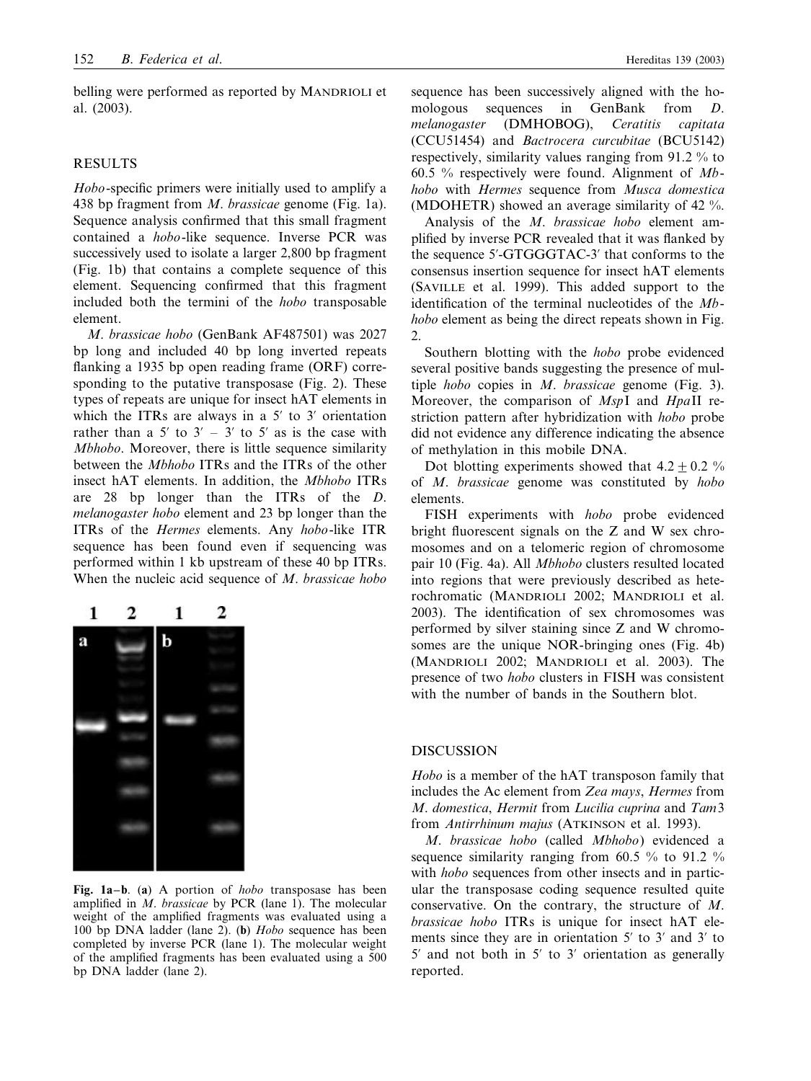belling were performed as reported by MANDRIOLI et al. (2003).

## RESULTS

*Hobo*-specific primers were initially used to amplify a 438 bp fragment from *M*. *brassicae* genome (Fig. 1a). Sequence analysis confirmed that this small fragment contained a *hobo*-like sequence. Inverse PCR was successively used to isolate a larger 2,800 bp fragment (Fig. 1b) that contains a complete sequence of this element. Sequencing confirmed that this fragment included both the termini of the *hobo* transposable element.

*M*. *brassicae hobo* (GenBank AF487501) was 2027 bp long and included 40 bp long inverted repeats flanking a 1935 bp open reading frame (ORF) corresponding to the putative transposase (Fig. 2). These types of repeats are unique for insect hAT elements in which the ITRs are always in a  $5'$  to  $3'$  orientation rather than a 5' to  $3' - 3'$  to 5' as is the case with *Mbhobo*. Moreover, there is little sequence similarity between the *Mbhobo* ITRs and the ITRs of the other insect hAT elements. In addition, the *Mbhobo* ITRs are 28 bp longer than the ITRs of the *D*. *melanogaster hobo* element and 23 bp longer than the ITRs of the *Hermes* elements. Any *hobo*-like ITR sequence has been found even if sequencing was performed within 1 kb upstream of these 40 bp ITRs. When the nucleic acid sequence of *M*. *brassicae hobo*



**Fig. 1a–b**. (**a**) A portion of *hobo* transposase has been amplified in *M*. *brassicae* by PCR (lane 1). The molecular weight of the amplified fragments was evaluated using a 100 bp DNA ladder (lane 2). (**b**) *Hobo* sequence has been completed by inverse PCR (lane 1). The molecular weight of the amplified fragments has been evaluated using a 500 bp DNA ladder (lane 2).

sequence has been successively aligned with the homologous sequences in GenBank from *D*. *melanogaster* (DMHOBOG), *Ceratitis capitata* (CCU51454) and *Bactrocera curcubitae* (BCU5142) respectively, similarity values ranging from 91.2 % to 60.5 % respectively were found. Alignment of *Mbhobo* with *Hermes* sequence from *Musca domestica* (MDOHETR) showed an average similarity of 42 %.

Analysis of the *M*. *brassicae hobo* element amplified by inverse PCR revealed that it was flanked by the sequence 5'-GTGGGTAC-3' that conforms to the consensus insertion sequence for insect hAT elements (SAVILLE et al. 1999). This added support to the identification of the terminal nucleotides of the *Mbhobo* element as being the direct repeats shown in Fig. 2.

Southern blotting with the *hobo* probe evidenced several positive bands suggesting the presence of multiple *hobo* copies in *M*. *brassicae* genome (Fig. 3). Moreover, the comparison of *Msp*I and *Hpa*II restriction pattern after hybridization with *hobo* probe did not evidence any difference indicating the absence of methylation in this mobile DNA.

Dot blotting experiments showed that  $4.2 \pm 0.2$  % of *M*. *brassicae* genome was constituted by *hobo* elements.

FISH experiments with *hobo* probe evidenced bright fluorescent signals on the Z and W sex chromosomes and on a telomeric region of chromosome pair 10 (Fig. 4a). All *Mbhobo* clusters resulted located into regions that were previously described as heterochromatic (MANDRIOLI 2002; MANDRIOLI et al. 2003). The identification of sex chromosomes was performed by silver staining since Z and W chromosomes are the unique NOR-bringing ones (Fig. 4b) (MANDRIOLI 2002; MANDRIOLI et al. 2003). The presence of two *hobo* clusters in FISH was consistent with the number of bands in the Southern blot.

### DISCUSSION

*Hobo* is a member of the hAT transposon family that includes the Ac element from *Zea mays*, *Hermes* from *M*. *domestica*, *Hermit* from *Lucilia cuprina* and *Tam*3 from *Antirrhinum majus* (ATKINSON et al. 1993).

*M*. *brassicae hobo* (called *Mbhobo*) evidenced a sequence similarity ranging from 60.5 % to 91.2 % with *hobo* sequences from other insects and in particular the transposase coding sequence resulted quite conservative. On the contrary, the structure of *M*. *brassicae hobo* ITRs is unique for insect hAT elements since they are in orientation  $5'$  to  $3'$  and  $3'$  to  $5'$  and not both in  $5'$  to  $3'$  orientation as generally reported.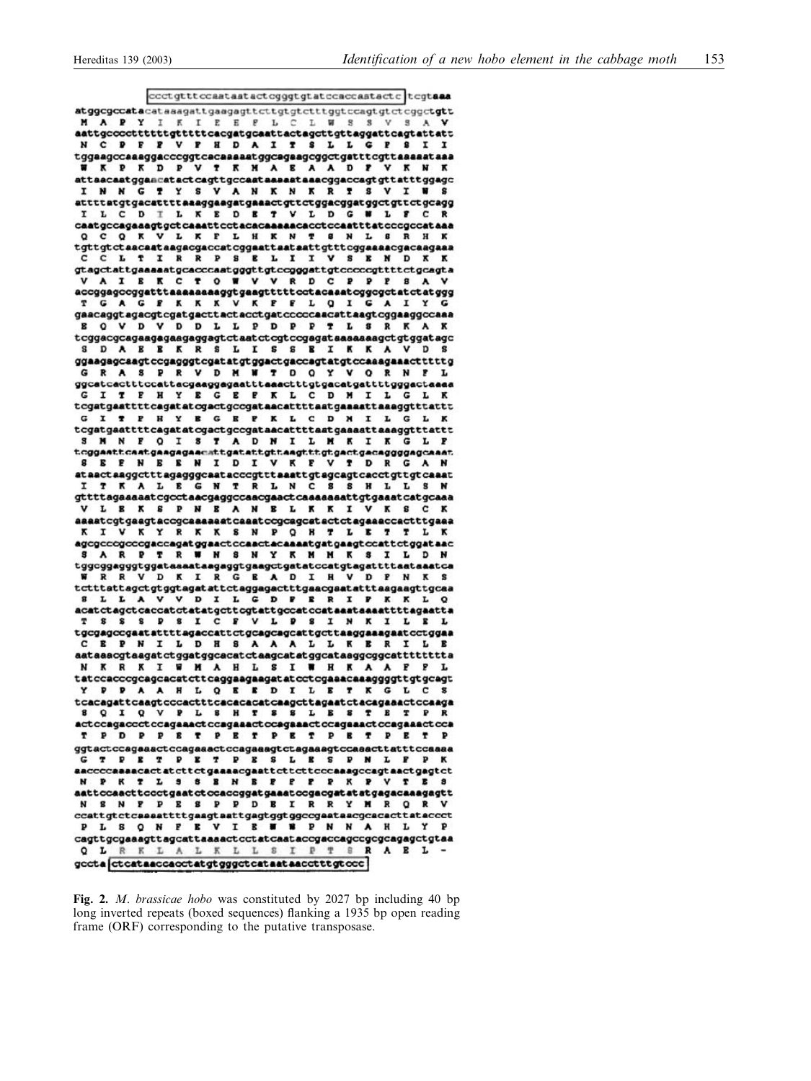coctgtttccaatastactcgggtgtatccaccastactc tcgtaaa atggcgccatacatasagattgaagagttcttgtgtctttggtccagtgtctcggctgtt A P Y T K T E E F L C L W S S M aattgccccttttttgtttttcacgatgcaattactagcttgttaggattcagtattatt N C P F P V P H D A I T S L L G P S I I tggaagccaaaggacccggtcacaaaaatggcagaagcggctgatttcgttaaaaataaa W K P K D P V T K H A E A A D P V K N K attaacaatggaacatactcagttgccaataaaaataaacggaccagtgttatttggagc I N N G T Y S V A N K N K R T S V I W S attttatgtgacattttaaaggaagatgaaactgttctggacggatggctgttctgcagg I L C D I L K E D E T V L D G W L F C  $\mathbf{R}$ caatgccagaaagtgctcaaattcctacacaaaaacacctccaatttatcccgccataaa Q C Q K V L K F L H K N T 8 N L 8 R H K tgttgtctaacaataagacgaccatcggaattaataattgtttcggaaaacgacaagaaa L T I R R P S E L I I V S E N D K gtagetattgaaaaatgeaceeaatgggttgteegggattgteeeegttttetgeagta A I E K C T O W V V R D C P P P B A GAGFKKKVKFFLQIGAIY T gaacaggtagacgtcgatgacttactacctgatcccccaacattaagtcggaaggccaaa **E O V D V D D L L P D P P T L S R K A K** tcggacgcagaagagaagagagtctaatctcgtccgagataaaaaaagctgtggatagc S D A E E K R S L I S S E I K K A V D S ggaagagcaagtccgagggtcgatatgtggactgaccagtatgtccaaagaaactttttg G R A S P R V D M W T D Q Y V Q R N F L ggcatcactttccattacgaaggagaatttaaactttgtgacatgattttgggactaaaa **GITPHY EGEPKL CDMILGLK** tcgatgaattttcagatatcgactgccgataacattttaatgaaaattaaaggtttattt GITPHYBGEPKLCDMILGLK tcgatgaattttcagatatcgactgccgataacattttaatgaaaattaaaggtttattt S M N F O I S T A D N I L M K I K G L P **SEPNEENIDIVKPVTDRGAN** ataactaaggctttagagggcaatacccgtttaaattgtagcagtcacctgttgtcaaat I T K A L E G N T R L N C B B H L L S N  $\verb|gttttagaaaatcyctaacgggccaacgaactcaaaaasttytgaactcatacaagaa$ **VLBKSPNBANBLKKIVKSCK** aaaatcgtgaagtaccgcaaaaaatcaaatccgcagcatactctagaaaccactttgaaa K I V K Y R K K S N P Q H T L E T T L agcgcccgcccgaccagatggaactccaactacaaaatgatgaagtccattctggataac S A R P T R W H S N Y K M H K S I L D N tggcggagggtggatasaataagaggtgaagctgatatccatgtagattttaataaatca **VDKIRGEADIHVDPNKS** tctttattagctgtggtagatattctaggagactttgaacgaatatttaagaagttgcaa V D I L G D P R R I P K K L **SLLAV**  $\circ$  ${\tt acactctagctccactctatatgcttcgtattgccatccataaataaaatttttagaatta}$ T S S S P S I C F V L P S I N K I L E L tgcgagocgaatattttagaccattctgcagcagcattgcttaaggaaagaatcctggaa C E P N I L D H S A A A L L K E R I L N K R K I W M A H L S I W H K A A F P L  $\verb|t$ at c cacccsgcagcactcttcaggaagagat at cctcgaacaaaggggttgtgcagt$ Y P P A A H L Q E E D I L E T K G L C  $\mathbf{x}$ tcacagattcaagtcccactttcacacatcaagcttagaatctacagaaactccaaga<br>8 Q I Q V P L 8 H T 8 S L B 8 T B T P R actccagaccctccagaaactccagaaactccagaaactccagaaactccagaaactcca T P D P P E T P E T P E T P E T P E T P ggtactccagaaactccagaaactccagaaagtctagaaagtccaaacttatttccaaaa **G T P E T P E T P E S L E S P N L P P K** aaccccaaaacactatcttctgaaaacgaattcttcttcccaaagccagtaactgagtct N P K T L S S B N B P P P P K P V T B S aattccaacttccctgaatctccaccggatgaaatccgacgatatatgagacaaagagtt N S N P P E S P P D E I R R Y M R Q R  $\verb|ccattgtct| can \verb|sattttgagtagtggt|ggc\verb|cgsatae|cqccat|tac\verb|cct|$ PLS Q N P E V I E W N P N N A H L Y P cagttgcgaaagttagcattaaaactcctatcaataccgaccagccgcgcagagctgtaa Q L R K L A L K L L S T P T S R A B L gccta ctcataaccacctatgtgggctcataataacctttgtccc

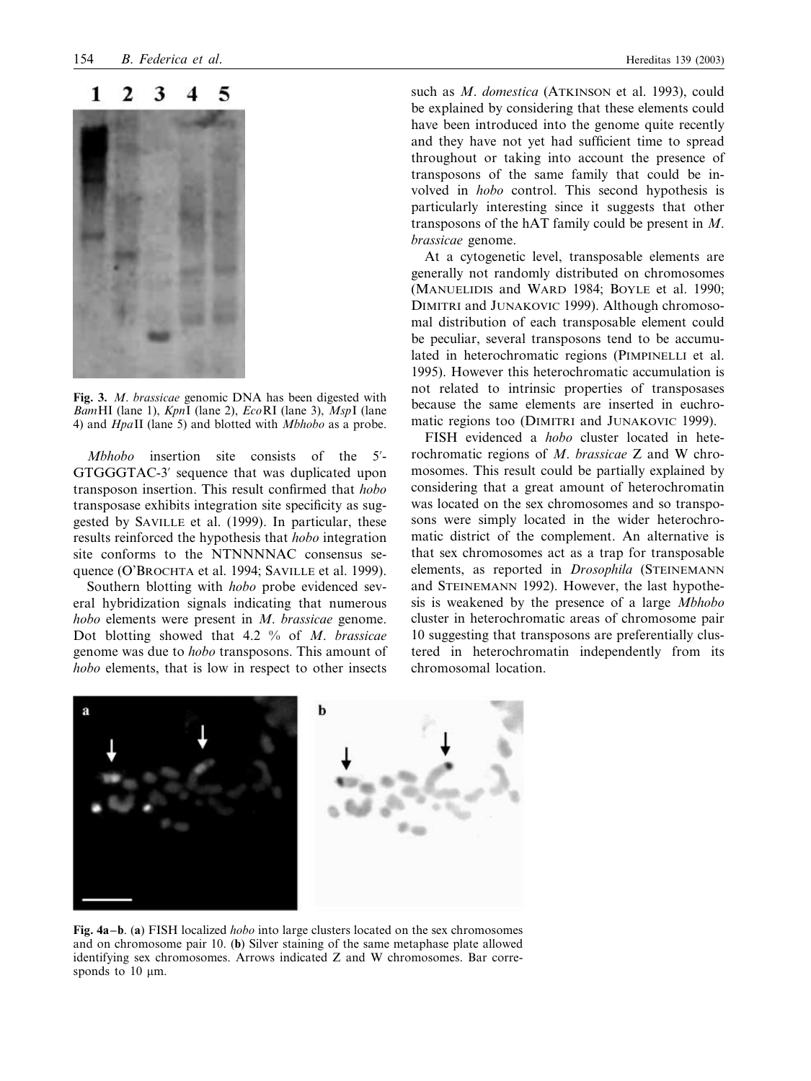#### 3 1 2 5



**Fig. 3.** *M*. *brassicae* genomic DNA has been digested with *Bam*HI (lane 1), *Kpn*I (lane 2), *Eco*RI (lane 3), *Msp*I (lane 4) and *Hpa*II (lane 5) and blotted with *Mbhobo* as a probe.

*Mbhobo* insertion site consists of the 5-- GTGGGTAC-3' sequence that was duplicated upon transposon insertion. This result confirmed that *hobo* transposase exhibits integration site specificity as suggested by SAVILLE et al. (1999). In particular, these results reinforced the hypothesis that *hobo* integration site conforms to the NTNNNNAC consensus sequence (O'BROCHTA et al. 1994; SAVILLE et al. 1999).

Southern blotting with *hobo* probe evidenced several hybridization signals indicating that numerous *hobo* elements were present in *M*. *brassicae* genome. Dot blotting showed that 4.2 % of *M*. *brassicae* genome was due to *hobo* transposons. This amount of *hobo* elements, that is low in respect to other insects such as *M*. *domestica* (ATKINSON et al. 1993), could be explained by considering that these elements could have been introduced into the genome quite recently and they have not yet had sufficient time to spread throughout or taking into account the presence of transposons of the same family that could be involved in *hobo* control. This second hypothesis is particularly interesting since it suggests that other transposons of the hAT family could be present in *M*. *brassicae* genome.

At a cytogenetic level, transposable elements are generally not randomly distributed on chromosomes (MANUELIDIS and WARD 1984; BOYLE et al. 1990; DIMITRI and JUNAKOVIC 1999). Although chromosomal distribution of each transposable element could be peculiar, several transposons tend to be accumulated in heterochromatic regions (PIMPINELLI et al. 1995). However this heterochromatic accumulation is not related to intrinsic properties of transposases because the same elements are inserted in euchromatic regions too (DIMITRI and JUNAKOVIC 1999).

FISH evidenced a *hobo* cluster located in heterochromatic regions of *M*. *brassicae* Z and W chromosomes. This result could be partially explained by considering that a great amount of heterochromatin was located on the sex chromosomes and so transposons were simply located in the wider heterochromatic district of the complement. An alternative is that sex chromosomes act as a trap for transposable elements, as reported in *Drosophila* (STEINEMANN and STEINEMANN 1992). However, the last hypothesis is weakened by the presence of a large *Mbhobo* cluster in heterochromatic areas of chromosome pair 10 suggesting that transposons are preferentially clustered in heterochromatin independently from its chromosomal location.



**Fig. 4a–b**. (**a**) FISH localized *hobo* into large clusters located on the sex chromosomes and on chromosome pair 10. (**b**) Silver staining of the same metaphase plate allowed identifying sex chromosomes. Arrows indicated Z and W chromosomes. Bar corresponds to  $10 \mu m$ .